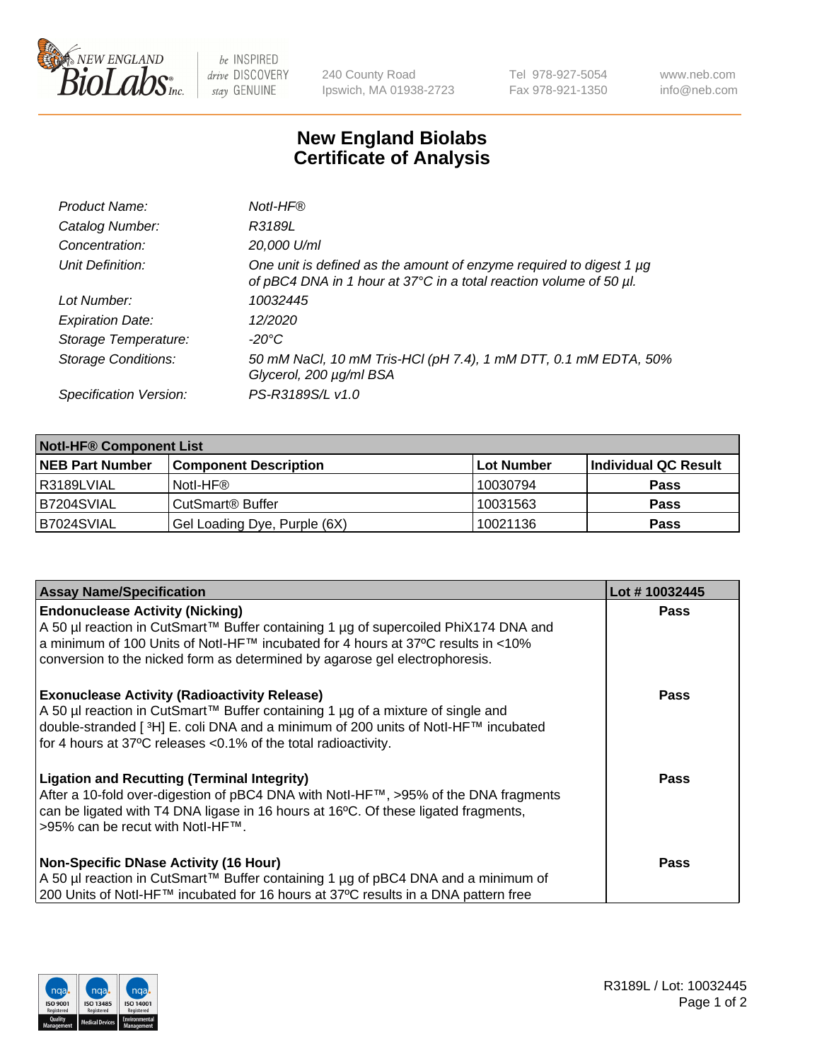

 $be$  INSPIRED drive DISCOVERY stay GENUINE

240 County Road Ipswich, MA 01938-2723 Tel 978-927-5054 Fax 978-921-1350 www.neb.com info@neb.com

## **New England Biolabs Certificate of Analysis**

| Product Name:              | Notl-HF®                                                                                                                                  |
|----------------------------|-------------------------------------------------------------------------------------------------------------------------------------------|
| Catalog Number:            | R3189L                                                                                                                                    |
| Concentration:             | 20,000 U/ml                                                                                                                               |
| Unit Definition:           | One unit is defined as the amount of enzyme required to digest 1 µg<br>of pBC4 DNA in 1 hour at 37°C in a total reaction volume of 50 µl. |
| Lot Number:                | 10032445                                                                                                                                  |
| <b>Expiration Date:</b>    | 12/2020                                                                                                                                   |
| Storage Temperature:       | $-20^{\circ}$ C                                                                                                                           |
| <b>Storage Conditions:</b> | 50 mM NaCl, 10 mM Tris-HCl (pH 7.4), 1 mM DTT, 0.1 mM EDTA, 50%<br>Glycerol, 200 µg/ml BSA                                                |
| Specification Version:     | PS-R3189S/L v1.0                                                                                                                          |

| <b>Notl-HF® Component List</b> |                              |            |                      |  |
|--------------------------------|------------------------------|------------|----------------------|--|
| <b>NEB Part Number</b>         | <b>Component Description</b> | Lot Number | Individual QC Result |  |
| R3189LVIAL                     | Notl-HF®                     | 10030794   | <b>Pass</b>          |  |
| IB7204SVIAL                    | CutSmart <sup>®</sup> Buffer | 10031563   | <b>Pass</b>          |  |
| B7024SVIAL                     | Gel Loading Dye, Purple (6X) | 10021136   | <b>Pass</b>          |  |

| <b>Assay Name/Specification</b>                                                                                                                                                                                                                                                                              | Lot #10032445 |
|--------------------------------------------------------------------------------------------------------------------------------------------------------------------------------------------------------------------------------------------------------------------------------------------------------------|---------------|
| <b>Endonuclease Activity (Nicking)</b><br>A 50 µl reaction in CutSmart™ Buffer containing 1 µg of supercoiled PhiX174 DNA and                                                                                                                                                                                | <b>Pass</b>   |
| a minimum of 100 Units of Notl-HF™ incubated for 4 hours at 37°C results in <10%<br>conversion to the nicked form as determined by agarose gel electrophoresis.                                                                                                                                              |               |
| <b>Exonuclease Activity (Radioactivity Release)</b><br>  A 50 µl reaction in CutSmart™ Buffer containing 1 µg of a mixture of single and<br>double-stranded [ <sup>3</sup> H] E. coli DNA and a minimum of 200 units of Notl-HF™ incubated<br>for 4 hours at 37°C releases <0.1% of the total radioactivity. | <b>Pass</b>   |
| <b>Ligation and Recutting (Terminal Integrity)</b><br>After a 10-fold over-digestion of pBC4 DNA with Notl-HF™, >95% of the DNA fragments<br>can be ligated with T4 DNA ligase in 16 hours at 16 <sup>o</sup> C. Of these ligated fragments,<br> >95% can be recut with NotI-HF™.                            | Pass          |
| <b>Non-Specific DNase Activity (16 Hour)</b>                                                                                                                                                                                                                                                                 | <b>Pass</b>   |
| A 50 µl reaction in CutSmart™ Buffer containing 1 µg of pBC4 DNA and a minimum of<br>200 Units of Notl-HF™ incubated for 16 hours at 37°C results in a DNA pattern free                                                                                                                                      |               |